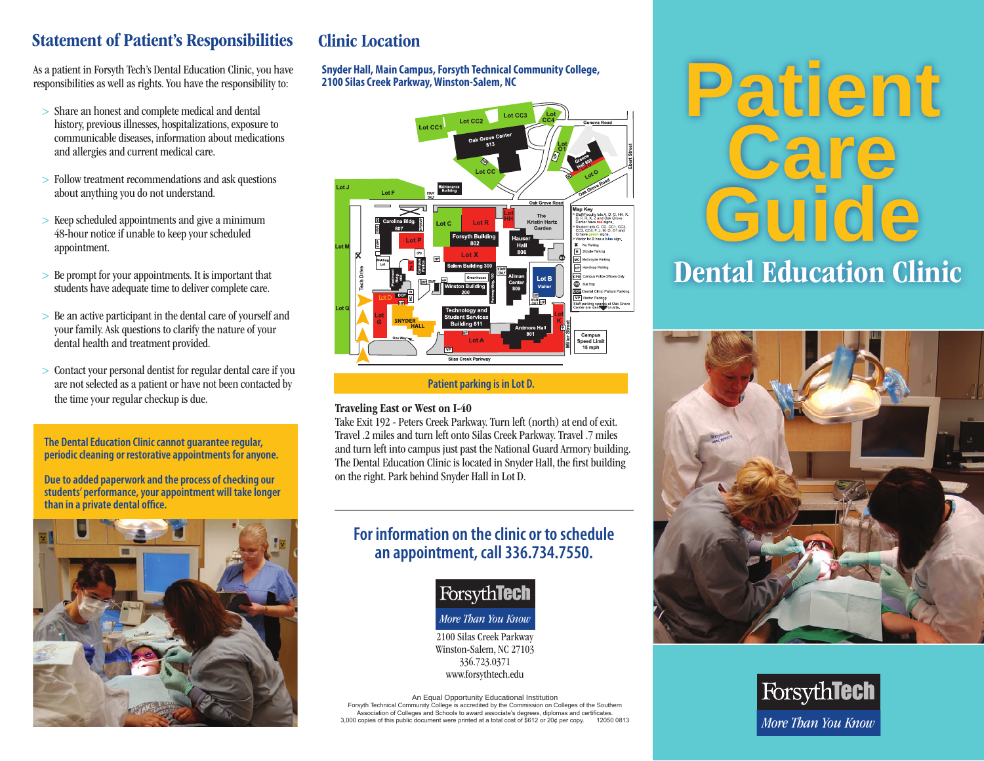# Statement of Patient's Responsibilities

As a patient in Forsyth Tech's Dental Education Clinic, you have responsibilities as well as rights. You have the responsibility to:

- > Share an honest and complete medical and dental history, previous illnesses, hospitalizations, exposure to communicable diseases, information about medications and allergies and current medical care.
- > Follow treatment recommendations and ask questions about anything you do not understand.
- > Keep scheduled appointments and give a minimum 48-hour notice if unable to keep your scheduled appointment.
- > Be prompt for your appointments. It is important that students have adequate time to deliver complete care.
- > Be an active participant in the dental care of yourself and your family. Ask questions to clarify the nature of your dental health and treatment provided.
- > Contact your personal dentist for regular dental care if you are not selected as a patient or have not been contacted by the time your regular checkup is due.

**The Dental Education Clinic cannot guarantee regular, periodic cleaning or restorative appointments for anyone.**

**Due to added paperwork and the process of checking our students' performance, your appointment will take longer than in a private dental office.**



# Clinic Location

#### **Snyder Hall, Main Campus, Forsyth Technical Community College, 2100 Silas Creek Parkway, Winston-Salem, NC**



#### **Patient parking is in Lot D.**

#### Traveling East or West on I-40

Take Exit 192 - Peters Creek Parkway. Turn left (north) at end of exit. Travel .2 miles and turn left onto Silas Creek Parkway. Travel .7 miles and turn left into campus just past the National Guard Armory building. The Dental Education Clinic is located in Snyder Hall, the first building on the right. Park behind Snyder Hall in Lot D.

# **For information on the clinic or to schedule an appointment, call 336.734.7550.**



2100 Silas Creek Parkway Winston-Salem, NC 27103 336.723.0371 www.forsythtech.edu

An Equal Opportunity Educational Institution Forsyth Technical Community College is accredited by the Commission on Colleges of the Southern Association of Colleges and Schools to award associate's degrees, diplomas and certificates.<br>Association of Colleges and Schools to award associate's degrees, diplomas and certificates. 3,000 copies of this public document were printed at a total cost of \$612 or 20¢ per copy.

# **Patient Care Guide**

# Dental Education Clinic